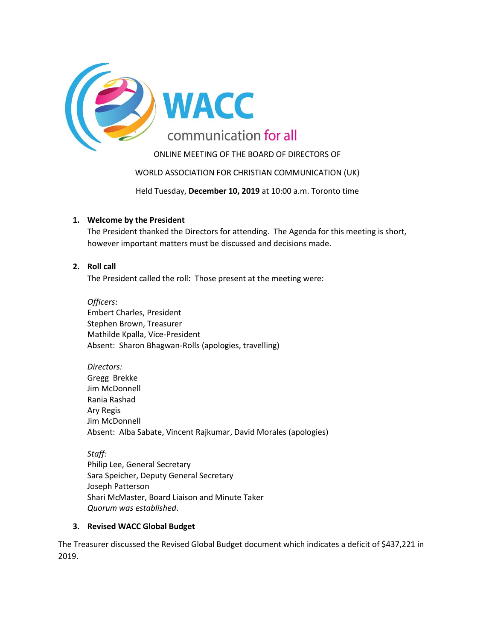

ONLINE MEETING OF THE BOARD OF DIRECTORS OF

WORLD ASSOCIATION FOR CHRISTIAN COMMUNICATION (UK)

Held Tuesday, **December 10, 2019** at 10:00 a.m. Toronto time

### **1. Welcome by the President**

The President thanked the Directors for attending. The Agenda for this meeting is short, however important matters must be discussed and decisions made.

### **2. Roll call**

The President called the roll: Those present at the meeting were:

*Officers*: Embert Charles, President Stephen Brown, Treasurer Mathilde Kpalla, Vice-President Absent: Sharon Bhagwan-Rolls (apologies, travelling)

#### *Directors:*

Gregg Brekke Jim McDonnell Rania Rashad Ary Regis Jim McDonnell Absent: Alba Sabate, Vincent Rajkumar, David Morales (apologies)

*Staff:*

Philip Lee, General Secretary Sara Speicher, Deputy General Secretary Joseph Patterson Shari McMaster, Board Liaison and Minute Taker *Quorum was established*.

#### **3. Revised WACC Global Budget**

The Treasurer discussed the Revised Global Budget document which indicates a deficit of \$437,221 in 2019.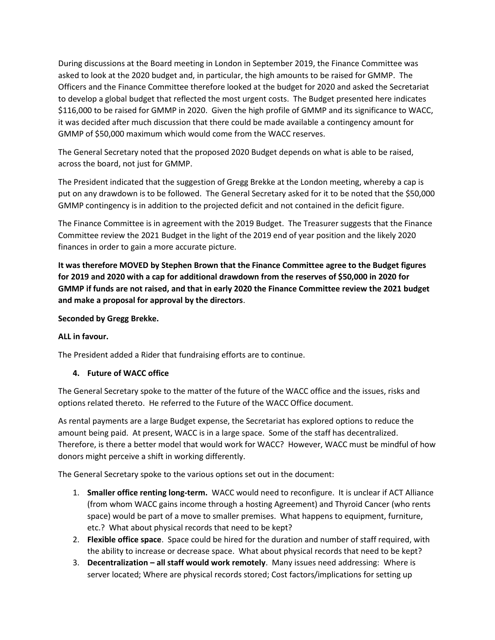During discussions at the Board meeting in London in September 2019, the Finance Committee was asked to look at the 2020 budget and, in particular, the high amounts to be raised for GMMP. The Officers and the Finance Committee therefore looked at the budget for 2020 and asked the Secretariat to develop a global budget that reflected the most urgent costs. The Budget presented here indicates \$116,000 to be raised for GMMP in 2020. Given the high profile of GMMP and its significance to WACC, it was decided after much discussion that there could be made available a contingency amount for GMMP of \$50,000 maximum which would come from the WACC reserves.

The General Secretary noted that the proposed 2020 Budget depends on what is able to be raised, across the board, not just for GMMP.

The President indicated that the suggestion of Gregg Brekke at the London meeting, whereby a cap is put on any drawdown is to be followed. The General Secretary asked for it to be noted that the \$50,000 GMMP contingency is in addition to the projected deficit and not contained in the deficit figure.

The Finance Committee is in agreement with the 2019 Budget. The Treasurer suggests that the Finance Committee review the 2021 Budget in the light of the 2019 end of year position and the likely 2020 finances in order to gain a more accurate picture.

**It was therefore MOVED by Stephen Brown that the Finance Committee agree to the Budget figures for 2019 and 2020 with a cap for additional drawdown from the reserves of \$50,000 in 2020 for GMMP if funds are not raised, and that in early 2020 the Finance Committee review the 2021 budget and make a proposal for approval by the directors**.

## **Seconded by Gregg Brekke.**

#### **ALL in favour.**

The President added a Rider that fundraising efforts are to continue.

#### **4. Future of WACC office**

The General Secretary spoke to the matter of the future of the WACC office and the issues, risks and options related thereto. He referred to the Future of the WACC Office document.

As rental payments are a large Budget expense, the Secretariat has explored options to reduce the amount being paid. At present, WACC is in a large space. Some of the staff has decentralized. Therefore, is there a better model that would work for WACC? However, WACC must be mindful of how donors might perceive a shift in working differently.

The General Secretary spoke to the various options set out in the document:

- 1. **Smaller office renting long-term.** WACC would need to reconfigure. It is unclear if ACT Alliance (from whom WACC gains income through a hosting Agreement) and Thyroid Cancer (who rents space) would be part of a move to smaller premises. What happens to equipment, furniture, etc.? What about physical records that need to be kept?
- 2. **Flexible office space**. Space could be hired for the duration and number of staff required, with the ability to increase or decrease space. What about physical records that need to be kept?
- 3. **Decentralization – all staff would work remotely**. Many issues need addressing: Where is server located; Where are physical records stored; Cost factors/implications for setting up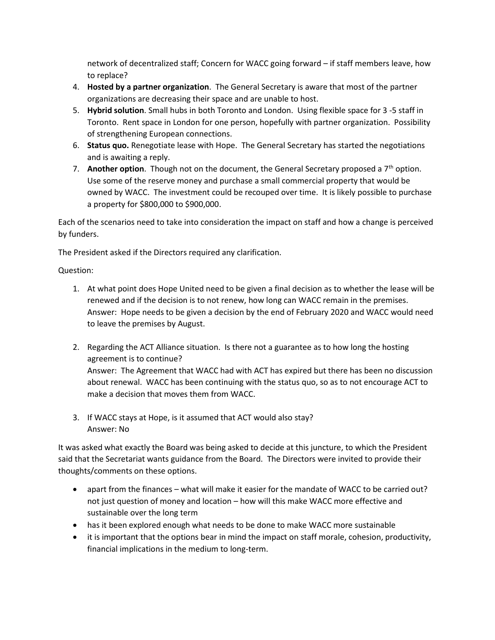network of decentralized staff; Concern for WACC going forward – if staff members leave, how to replace?

- 4. **Hosted by a partner organization**. The General Secretary is aware that most of the partner organizations are decreasing their space and are unable to host.
- 5. **Hybrid solution**. Small hubs in both Toronto and London. Using flexible space for 3 -5 staff in Toronto. Rent space in London for one person, hopefully with partner organization. Possibility of strengthening European connections.
- 6. **Status quo.** Renegotiate lease with Hope. The General Secretary has started the negotiations and is awaiting a reply.
- 7. **Another option**. Though not on the document, the General Secretary proposed a 7<sup>th</sup> option. Use some of the reserve money and purchase a small commercial property that would be owned by WACC. The investment could be recouped over time. It is likely possible to purchase a property for \$800,000 to \$900,000.

Each of the scenarios need to take into consideration the impact on staff and how a change is perceived by funders.

The President asked if the Directors required any clarification.

Question:

- 1. At what point does Hope United need to be given a final decision as to whether the lease will be renewed and if the decision is to not renew, how long can WACC remain in the premises. Answer: Hope needs to be given a decision by the end of February 2020 and WACC would need to leave the premises by August.
- 2. Regarding the ACT Alliance situation. Is there not a guarantee as to how long the hosting agreement is to continue? Answer: The Agreement that WACC had with ACT has expired but there has been no discussion about renewal. WACC has been continuing with the status quo, so as to not encourage ACT to make a decision that moves them from WACC.
- 3. If WACC stays at Hope, is it assumed that ACT would also stay? Answer: No

It was asked what exactly the Board was being asked to decide at this juncture, to which the President said that the Secretariat wants guidance from the Board. The Directors were invited to provide their thoughts/comments on these options.

- apart from the finances what will make it easier for the mandate of WACC to be carried out? not just question of money and location – how will this make WACC more effective and sustainable over the long term
- has it been explored enough what needs to be done to make WACC more sustainable
- it is important that the options bear in mind the impact on staff morale, cohesion, productivity, financial implications in the medium to long-term.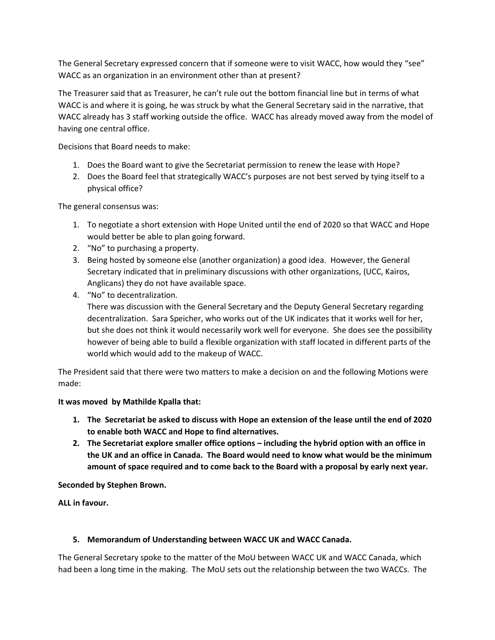The General Secretary expressed concern that if someone were to visit WACC, how would they "see" WACC as an organization in an environment other than at present?

The Treasurer said that as Treasurer, he can't rule out the bottom financial line but in terms of what WACC is and where it is going, he was struck by what the General Secretary said in the narrative, that WACC already has 3 staff working outside the office. WACC has already moved away from the model of having one central office.

Decisions that Board needs to make:

- 1. Does the Board want to give the Secretariat permission to renew the lease with Hope?
- 2. Does the Board feel that strategically WACC's purposes are not best served by tying itself to a physical office?

The general consensus was:

- 1. To negotiate a short extension with Hope United until the end of 2020 so that WACC and Hope would better be able to plan going forward.
- 2. "No" to purchasing a property.
- 3. Being hosted by someone else (another organization) a good idea. However, the General Secretary indicated that in preliminary discussions with other organizations, (UCC, Kairos, Anglicans) they do not have available space.
- 4. "No" to decentralization.

There was discussion with the General Secretary and the Deputy General Secretary regarding decentralization. Sara Speicher, who works out of the UK indicates that it works well for her, but she does not think it would necessarily work well for everyone. She does see the possibility however of being able to build a flexible organization with staff located in different parts of the world which would add to the makeup of WACC.

The President said that there were two matters to make a decision on and the following Motions were made:

#### **It was moved by Mathilde Kpalla that:**

- **1. The Secretariat be asked to discuss with Hope an extension of the lease until the end of 2020 to enable both WACC and Hope to find alternatives.**
- **2. The Secretariat explore smaller office options – including the hybrid option with an office in the UK and an office in Canada. The Board would need to know what would be the minimum amount of space required and to come back to the Board with a proposal by early next year.**

#### **Seconded by Stephen Brown.**

**ALL in favour.**

#### **5. Memorandum of Understanding between WACC UK and WACC Canada.**

The General Secretary spoke to the matter of the MoU between WACC UK and WACC Canada, which had been a long time in the making. The MoU sets out the relationship between the two WACCs. The